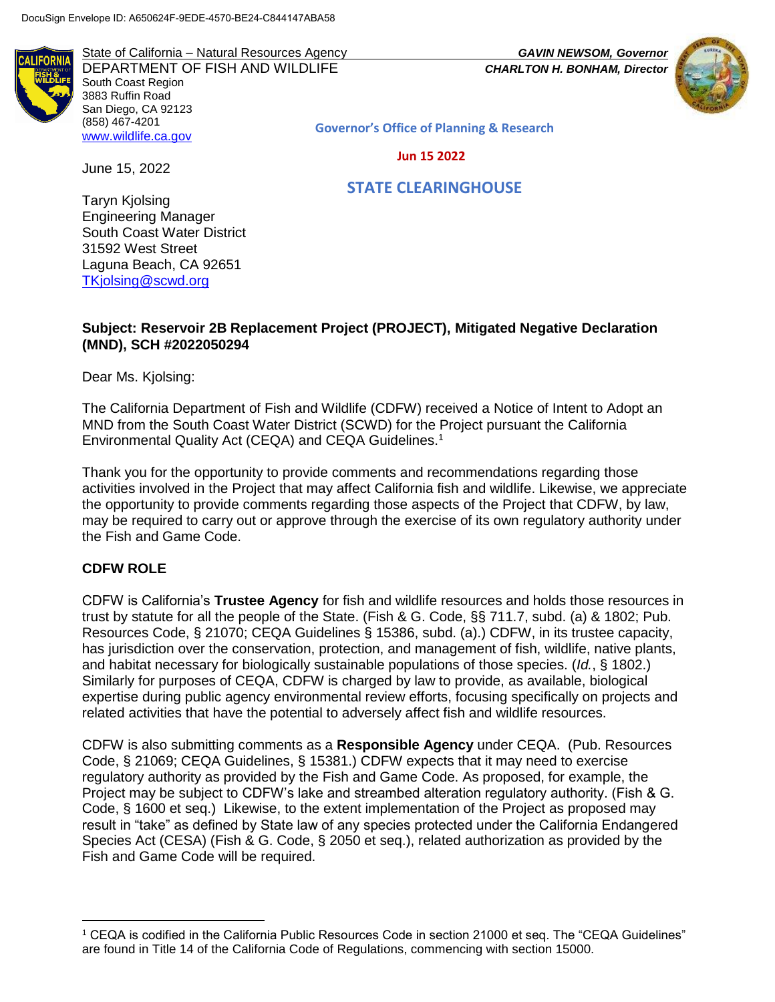State of California – Natural Resources Agency *GAVIN NEWSOM, Governor*



DEPARTMENT OF FISH AND WILDLIFE *CHARLTON H. BONHAM, Director*  South Coast Region 3883 Ruffin Road San Diego, CA 92123 (858) 467-4201 [www.wildlife.ca.gov](http://www.wildlife.ca.gov/)

**Governor's Office of Planning & Research**

 **Jun 15 2022**

 **STATE CLEARINGHOUSE**

Taryn Kjolsing Engineering Manager South Coast Water District 31592 West Street Laguna Beach, CA 92651 [TKjolsing@scwd.org](mailto:TKjolsing@scwd.org)

June 15, 2022

## **Subject: Reservoir 2B Replacement Project (PROJECT), Mitigated Negative Declaration (MND), SCH #2022050294**

Dear Ms. Kjolsing:

The California Department of Fish and Wildlife (CDFW) received a Notice of Intent to Adopt an MND from the South Coast Water District (SCWD) for the Project pursuant the California Environmental Quality Act (CEQA) and CEQA Guidelines.<sup>1</sup>

Thank you for the opportunity to provide comments and recommendations regarding those activities involved in the Project that may affect California fish and wildlife. Likewise, we appreciate the opportunity to provide comments regarding those aspects of the Project that CDFW, by law, may be required to carry out or approve through the exercise of its own regulatory authority under the Fish and Game Code.

## **CDFW ROLE**

l

CDFW is California's **Trustee Agency** for fish and wildlife resources and holds those resources in trust by statute for all the people of the State. (Fish & G. Code, §§ 711.7, subd. (a) & 1802; Pub. Resources Code, § 21070; CEQA Guidelines § 15386, subd. (a).) CDFW, in its trustee capacity, has jurisdiction over the conservation, protection, and management of fish, wildlife, native plants, and habitat necessary for biologically sustainable populations of those species. (*Id.*, § 1802.) Similarly for purposes of CEQA, CDFW is charged by law to provide, as available, biological expertise during public agency environmental review efforts, focusing specifically on projects and related activities that have the potential to adversely affect fish and wildlife resources.

CDFW is also submitting comments as a **Responsible Agency** under CEQA. (Pub. Resources Code, § 21069; CEQA Guidelines, § 15381.) CDFW expects that it may need to exercise regulatory authority as provided by the Fish and Game Code. As proposed, for example, the Project may be subject to CDFW's lake and streambed alteration regulatory authority. (Fish & G. Code, § 1600 et seq.) Likewise, to the extent implementation of the Project as proposed may result in "take" as defined by State law of any species protected under the California Endangered Species Act (CESA) (Fish & G. Code, § 2050 et seq.), related authorization as provided by the Fish and Game Code will be required.

<sup>1</sup> CEQA is codified in the California Public Resources Code in section 21000 et seq. The "CEQA Guidelines" are found in Title 14 of the California Code of Regulations, commencing with section 15000.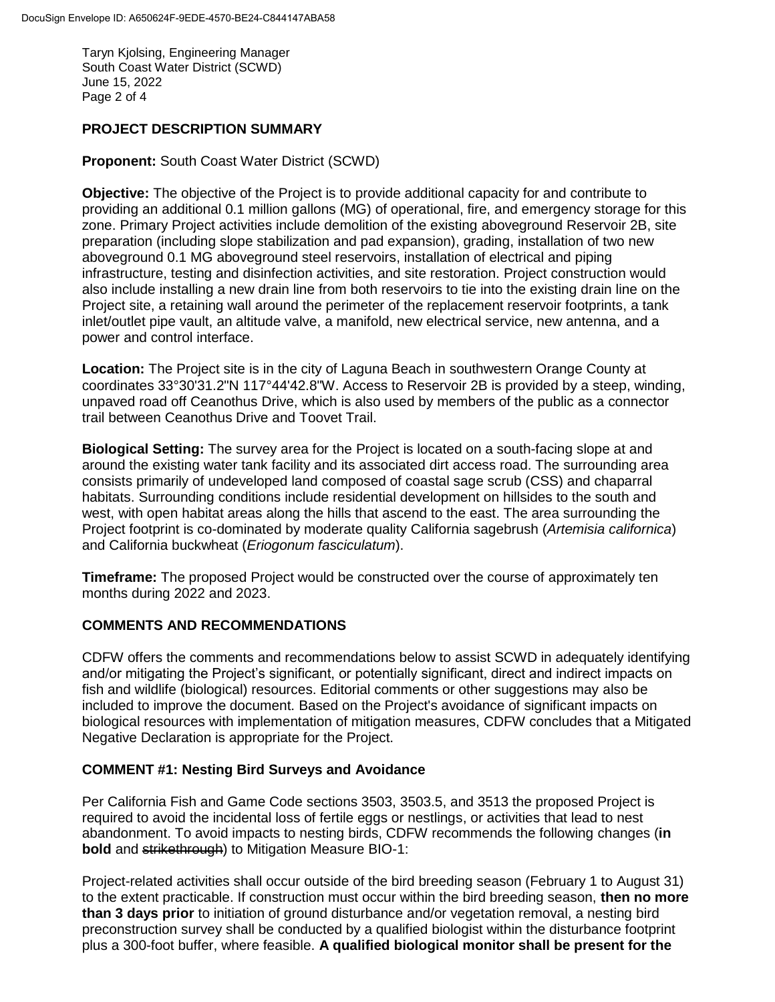Taryn Kjolsing, Engineering Manager South Coast Water District (SCWD) June 15, 2022 Page 2 of 4

## **PROJECT DESCRIPTION SUMMARY**

## **Proponent:** South Coast Water District (SCWD)

**Objective:** The objective of the Project is to provide additional capacity for and contribute to providing an additional 0.1 million gallons (MG) of operational, fire, and emergency storage for this zone. Primary Project activities include demolition of the existing aboveground Reservoir 2B, site preparation (including slope stabilization and pad expansion), grading, installation of two new aboveground 0.1 MG aboveground steel reservoirs, installation of electrical and piping infrastructure, testing and disinfection activities, and site restoration. Project construction would also include installing a new drain line from both reservoirs to tie into the existing drain line on the Project site, a retaining wall around the perimeter of the replacement reservoir footprints, a tank inlet/outlet pipe vault, an altitude valve, a manifold, new electrical service, new antenna, and a power and control interface.

**Location:** The Project site is in the city of Laguna Beach in southwestern Orange County at coordinates 33°30'31.2"N 117°44'42.8"W. Access to Reservoir 2B is provided by a steep, winding, unpaved road off Ceanothus Drive, which is also used by members of the public as a connector trail between Ceanothus Drive and Toovet Trail.

**Biological Setting:** The survey area for the Project is located on a south-facing slope at and around the existing water tank facility and its associated dirt access road. The surrounding area consists primarily of undeveloped land composed of coastal sage scrub (CSS) and chaparral habitats. Surrounding conditions include residential development on hillsides to the south and west, with open habitat areas along the hills that ascend to the east. The area surrounding the Project footprint is co-dominated by moderate quality California sagebrush (*Artemisia californica*) and California buckwheat (*Eriogonum fasciculatum*).

**Timeframe:** The proposed Project would be constructed over the course of approximately ten months during 2022 and 2023.

## **COMMENTS AND RECOMMENDATIONS**

CDFW offers the comments and recommendations below to assist SCWD in adequately identifying and/or mitigating the Project's significant, or potentially significant, direct and indirect impacts on fish and wildlife (biological) resources. Editorial comments or other suggestions may also be included to improve the document. Based on the Project's avoidance of significant impacts on biological resources with implementation of mitigation measures, CDFW concludes that a Mitigated Negative Declaration is appropriate for the Project.

## **COMMENT #1: Nesting Bird Surveys and Avoidance**

Per California Fish and Game Code sections 3503, 3503.5, and 3513 the proposed Project is required to avoid the incidental loss of fertile eggs or nestlings, or activities that lead to nest abandonment. To avoid impacts to nesting birds, CDFW recommends the following changes (**in bold** and strikethrough) to Mitigation Measure BIO-1:

Project-related activities shall occur outside of the bird breeding season (February 1 to August 31) to the extent practicable. If construction must occur within the bird breeding season, **then no more than 3 days prior** to initiation of ground disturbance and/or vegetation removal, a nesting bird preconstruction survey shall be conducted by a qualified biologist within the disturbance footprint plus a 300-foot buffer, where feasible. **A qualified biological monitor shall be present for the**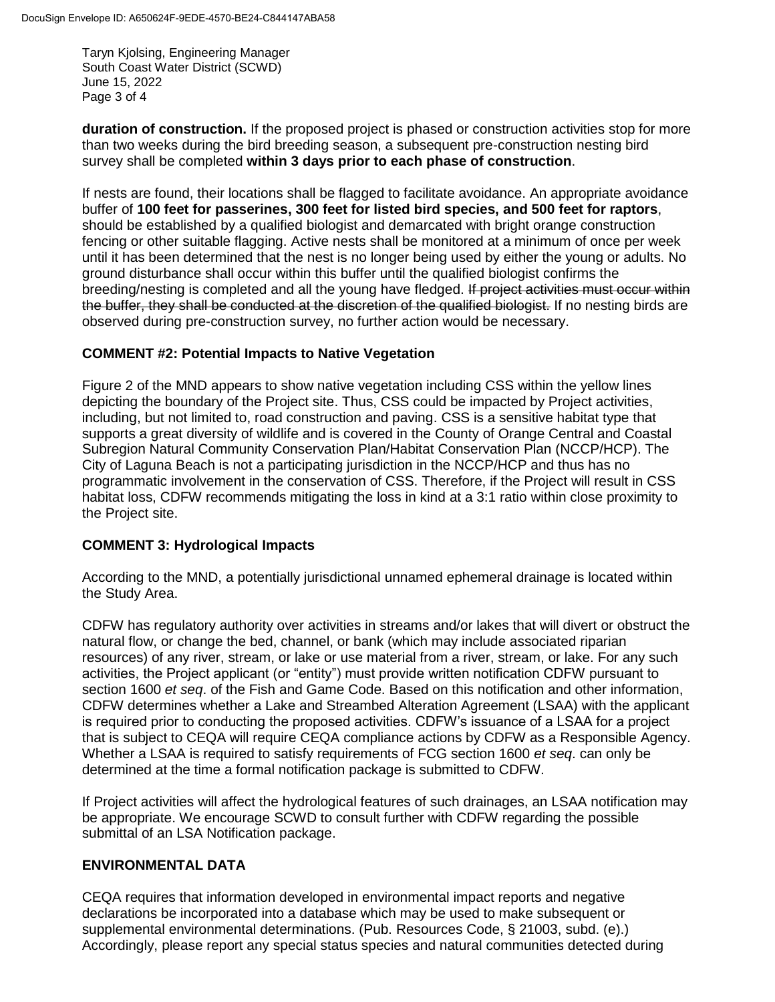Taryn Kjolsing, Engineering Manager South Coast Water District (SCWD) June 15, 2022 Page 3 of 4

**duration of construction.** If the proposed project is phased or construction activities stop for more than two weeks during the bird breeding season, a subsequent pre-construction nesting bird survey shall be completed **within 3 days prior to each phase of construction**.

If nests are found, their locations shall be flagged to facilitate avoidance. An appropriate avoidance buffer of **100 feet for passerines, 300 feet for listed bird species, and 500 feet for raptors**, should be established by a qualified biologist and demarcated with bright orange construction fencing or other suitable flagging. Active nests shall be monitored at a minimum of once per week until it has been determined that the nest is no longer being used by either the young or adults. No ground disturbance shall occur within this buffer until the qualified biologist confirms the breeding/nesting is completed and all the young have fledged. If project activities must occur within the buffer, they shall be conducted at the discretion of the qualified biologist. If no nesting birds are observed during pre-construction survey, no further action would be necessary.

## **COMMENT #2: Potential Impacts to Native Vegetation**

Figure 2 of the MND appears to show native vegetation including CSS within the yellow lines depicting the boundary of the Project site. Thus, CSS could be impacted by Project activities, including, but not limited to, road construction and paving. CSS is a sensitive habitat type that supports a great diversity of wildlife and is covered in the County of Orange Central and Coastal Subregion Natural Community Conservation Plan/Habitat Conservation Plan (NCCP/HCP). The City of Laguna Beach is not a participating jurisdiction in the NCCP/HCP and thus has no programmatic involvement in the conservation of CSS. Therefore, if the Project will result in CSS habitat loss, CDFW recommends mitigating the loss in kind at a 3:1 ratio within close proximity to the Project site.

## **COMMENT 3: Hydrological Impacts**

According to the MND, a potentially jurisdictional unnamed ephemeral drainage is located within the Study Area.

CDFW has regulatory authority over activities in streams and/or lakes that will divert or obstruct the natural flow, or change the bed, channel, or bank (which may include associated riparian resources) of any river, stream, or lake or use material from a river, stream, or lake. For any such activities, the Project applicant (or "entity") must provide written notification CDFW pursuant to section 1600 *et seq*. of the Fish and Game Code. Based on this notification and other information, CDFW determines whether a Lake and Streambed Alteration Agreement (LSAA) with the applicant is required prior to conducting the proposed activities. CDFW's issuance of a LSAA for a project that is subject to CEQA will require CEQA compliance actions by CDFW as a Responsible Agency. Whether a LSAA is required to satisfy requirements of FCG section 1600 *et seq*. can only be determined at the time a formal notification package is submitted to CDFW.

If Project activities will affect the hydrological features of such drainages, an LSAA notification may be appropriate. We encourage SCWD to consult further with CDFW regarding the possible submittal of an LSA Notification package.

## **ENVIRONMENTAL DATA**

CEQA requires that information developed in environmental impact reports and negative declarations be incorporated into a database which may be used to make subsequent or supplemental environmental determinations. (Pub. Resources Code, § 21003, subd. (e).) Accordingly, please report any special status species and natural communities detected during